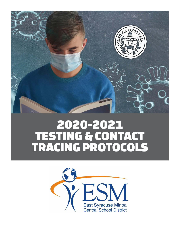

# 2020-2021 **TESTING & CONTACT<br>TRACING PROTOCOLS**

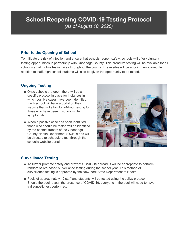# **School Reopening COVID-19 Testing Protocol** (As of August 10, 2020)

### **Prior to the Opening of School**

To mitigate the risk of infection and ensure that schools reopen safely, schools will offer voluntary testing opportunities in partnership with Onondaga County. This proactive testing will be available for all school staff at mobile testing sites throughout the county. These sites will be appointment-based. In addition to staff, high school students will also be given the opportunity to be tested.

## **Ongoing Testing**

- Once schools are open, there will be a specific protocol in place for instances in which positive cases have been identified. Each school will have a portal on their website that will allow for 24-hour testing for those who have been in school while symptomatic.
- When a positive case has been identified, those who should be tested will be identified by the contact tracers of the Onondaga County Health Department (OCHD) and will be directed to schedule a test through the school's website portal.



### **Surveillance Testing**

- To further promote safety and prevent COVID-19 spread, it will be appropriate to perform random saliva-based surveillance testing during the school year. This method of surveillance testing is approved by the New York State Department of Health.
- Pools of approximately 12 staff and students will be tested using the saliva protocol. Should the pool reveal the presence of COVID-19, everyone in the pool will need to have a diagnostic test performed.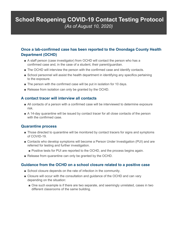## **School Reopening COVID-19 Contact Testing Protocol** (As of August 10, 2020)

## **Once a lab-confirmed case has been reported to the Onondaga County Health Department (OCHD)**

- A staff person (case investigator) from OCHD will contact the person who has a confirmed case and, in the case of a student, their parent/guardian.
- The OCHD will interview the person with the confirmed case and identify contacts.
- School personnel will assist the health department in identifying any specifics pertaining to the exposure.
- The person with the confirmed case will be put in isolation for 10 days.
- Release from isolation can only be granted by the OCHD.

#### **A contact tracer will interview all contacts**

- All contacts of a person with a confirmed case will be interviewed to determine exposure risk.
- A 14-day quarantine will be issued by contact tracer for all close contacts of the person with the confirmed case.

#### **Quarantine process**

- Those directed to quarantine will be monitored by contact tracers for signs and symptoms of COVID-19.
- Contacts who develop symptoms will become a Person Under Investigation (PUI) and are referred for testing and further investigation.
	- Positive tests for PUI are reported to the OCHD, and the process begins again.
- Release from quarantine can only be granted by the OCHD.

#### **Guidance from the OCHD on a school closure related to a positive case**

- School closure depends on the rate of infection in the community.
- Closure will occur with the consultation and guidance of the OCHD and can vary depending on the situation:
	- One such example is if there are two separate, and seemingly unrelated, cases in two different classrooms of the same building.